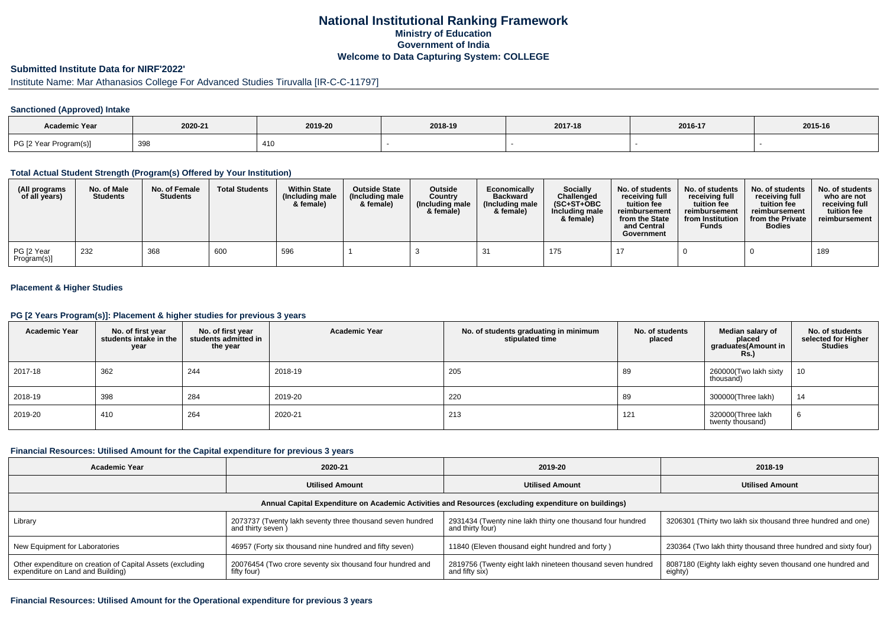## **National Institutional Ranking FrameworkMinistry of Education Government of IndiaWelcome to Data Capturing System: COLLEGE**

#### **Submitted Institute Data for NIRF'2022'**

# Institute Name: Mar Athanasios College For Advanced Studies Tiruvalla [IR-C-C-11797]

#### **Sanctioned (Approved) Intake**

| Academic Year          |             |         |         |         |         |         |
|------------------------|-------------|---------|---------|---------|---------|---------|
|                        | 2020-21     | 2019-20 | 2018-19 | 2017-18 | 2016-17 | 2015-16 |
| PG [2 Year Program(s)] | 308<br>ິບອບ | 410     |         |         |         |         |

#### **Total Actual Student Strength (Program(s) Offered by Your Institution)**

| (All programs<br>of all years) | No. of Male<br><b>Students</b> | No. of Female<br><b>Students</b> | <b>Total Students</b> | <b>Within State</b><br>(Including male<br>& female) | <b>Outside State</b><br>(Including male<br>& female) | <b>Outside</b><br>Country<br>(Including male<br>& female) | Economically<br><b>Backward</b><br>(Including male)<br>& female) | <b>Socially</b><br>Challenged<br>$(SC+ST+OBC)$<br>Including male<br>& female) | No. of students<br>receivina full<br>tuition fee<br>reimbursement<br>from the State<br>and Central<br>Government | No. of students<br>receiving full<br>tuition fee<br>reimbursement<br>from Institution<br><b>Funds</b> | No. of students<br>receiving full<br>tuition fee<br>reimbursement<br>from the Private<br><b>Bodies</b> | No. of students<br>who are not<br>receiving full<br>tuition fee<br>reimbursement |
|--------------------------------|--------------------------------|----------------------------------|-----------------------|-----------------------------------------------------|------------------------------------------------------|-----------------------------------------------------------|------------------------------------------------------------------|-------------------------------------------------------------------------------|------------------------------------------------------------------------------------------------------------------|-------------------------------------------------------------------------------------------------------|--------------------------------------------------------------------------------------------------------|----------------------------------------------------------------------------------|
| PG [2 Year<br>Program(s)]      | 232                            | 368                              | 600                   | 596                                                 |                                                      |                                                           |                                                                  | 175                                                                           |                                                                                                                  |                                                                                                       |                                                                                                        | 189                                                                              |

### **Placement & Higher Studies**

### **PG [2 Years Program(s)]: Placement & higher studies for previous 3 years**

| <b>Academic Year</b> | No. of first year<br>students intake in the<br>year | No. of first year<br>students admitted in<br>the year | <b>Academic Year</b> | No. of students graduating in minimum<br>stipulated time | No. of students<br>placed | Median salary of<br>placed<br>graduates(Amount in<br><b>Rs.)</b> | No. of students<br>selected for Higher<br><b>Studies</b> |
|----------------------|-----------------------------------------------------|-------------------------------------------------------|----------------------|----------------------------------------------------------|---------------------------|------------------------------------------------------------------|----------------------------------------------------------|
| 2017-18              | 362                                                 | 244                                                   | 2018-19              | 205                                                      | 89                        | 260000(Two lakh sixty<br>thousand)                               | 10                                                       |
| 2018-19              | 398                                                 | 284                                                   | 2019-20              | 220                                                      | 89                        | 300000(Three lakh)                                               | 14                                                       |
| 2019-20              | 410                                                 | 264                                                   | 2020-21              | 213                                                      | 121                       | 320000(Three lakh<br>twenty thousand)                            | 6                                                        |

#### **Financial Resources: Utilised Amount for the Capital expenditure for previous 3 years**

| <b>Academic Year</b>                                                                                 | 2020-21                                                                        | 2019-20                                                                        | 2018-19                                                               |  |  |  |  |  |
|------------------------------------------------------------------------------------------------------|--------------------------------------------------------------------------------|--------------------------------------------------------------------------------|-----------------------------------------------------------------------|--|--|--|--|--|
|                                                                                                      | <b>Utilised Amount</b>                                                         | <b>Utilised Amount</b>                                                         | <b>Utilised Amount</b>                                                |  |  |  |  |  |
| Annual Capital Expenditure on Academic Activities and Resources (excluding expenditure on buildings) |                                                                                |                                                                                |                                                                       |  |  |  |  |  |
| Library                                                                                              | 2073737 (Twenty lakh seventy three thousand seven hundred<br>and thirty seven) | 2931434 (Twenty nine lakh thirty one thousand four hundred<br>and thirty four) | 3206301 (Thirty two lakh six thousand three hundred and one)          |  |  |  |  |  |
| New Equipment for Laboratories                                                                       | 46957 (Forty six thousand nine hundred and fifty seven)                        | 11840 (Eleven thousand eight hundred and forty)                                | 230364 (Two lakh thirty thousand three hundred and sixty four)        |  |  |  |  |  |
| Other expenditure on creation of Capital Assets (excluding<br>expenditure on Land and Building)      | 20076454 (Two crore seventy six thousand four hundred and<br>fifty four)       | 2819756 (Twenty eight lakh nineteen thousand seven hundred<br>and fifty six)   | 8087180 (Eighty lakh eighty seven thousand one hundred and<br>eighty) |  |  |  |  |  |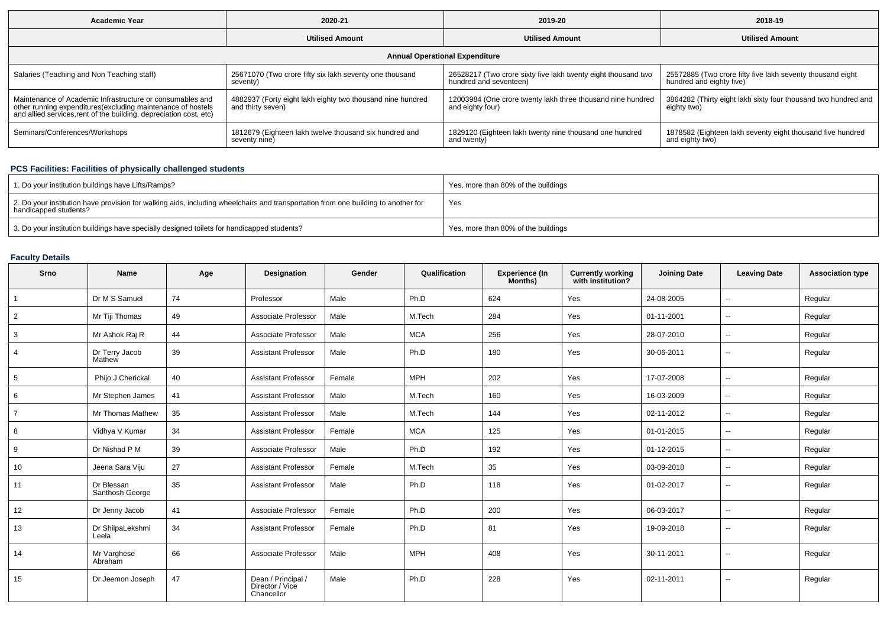| <b>Academic Year</b>                                                                                                                                                                           | 2020-21                                                                         | 2019-20                                                                                 | 2018-19                                                                                |  |  |  |  |  |
|------------------------------------------------------------------------------------------------------------------------------------------------------------------------------------------------|---------------------------------------------------------------------------------|-----------------------------------------------------------------------------------------|----------------------------------------------------------------------------------------|--|--|--|--|--|
|                                                                                                                                                                                                | <b>Utilised Amount</b>                                                          | <b>Utilised Amount</b>                                                                  | <b>Utilised Amount</b>                                                                 |  |  |  |  |  |
| <b>Annual Operational Expenditure</b>                                                                                                                                                          |                                                                                 |                                                                                         |                                                                                        |  |  |  |  |  |
| Salaries (Teaching and Non Teaching staff)                                                                                                                                                     | 25671070 (Two crore fifty six lakh seventy one thousand<br>seventy)             | 26528217 (Two crore sixty five lakh twenty eight thousand two<br>hundred and seventeen) | 25572885 (Two crore fifty five lakh seventy thousand eight<br>hundred and eighty five) |  |  |  |  |  |
| Maintenance of Academic Infrastructure or consumables and<br>other running expenditures(excluding maintenance of hostels<br>and allied services, rent of the building, depreciation cost, etc) | 4882937 (Forty eight lakh eighty two thousand nine hundred<br>and thirty seven) | 12003984 (One crore twenty lakh three thousand nine hundred<br>and eighty four)         | 3864282 (Thirty eight lakh sixty four thousand two hundred and<br>eighty two)          |  |  |  |  |  |
| Seminars/Conferences/Workshops                                                                                                                                                                 | 1812679 (Eighteen lakh twelve thousand six hundred and<br>seventy nine)         | 1829120 (Eighteen lakh twenty nine thousand one hundred<br>and twenty)                  | 1878582 (Eighteen lakh seventy eight thousand five hundred<br>and eighty two)          |  |  |  |  |  |

### **PCS Facilities: Facilities of physically challenged students**

| 1. Do your institution buildings have Lifts/Ramps?                                                                                                         | Yes, more than 80% of the buildings |
|------------------------------------------------------------------------------------------------------------------------------------------------------------|-------------------------------------|
| 2. Do your institution have provision for walking aids, including wheelchairs and transportation from one building to another for<br>handicapped students? | Yes                                 |
| 3. Do your institution buildings have specially designed toilets for handicapped students?                                                                 | Yes, more than 80% of the buildings |

# **Faculty Details**

| Srno           | <b>Name</b>                   | Age | Designation                                         | Gender | Qualification | Experience (In<br>Months) | <b>Currently working</b><br>with institution? | <b>Joining Date</b> | <b>Leaving Date</b> | <b>Association type</b> |
|----------------|-------------------------------|-----|-----------------------------------------------------|--------|---------------|---------------------------|-----------------------------------------------|---------------------|---------------------|-------------------------|
|                | Dr M S Samuel                 | 74  | Professor                                           | Male   | Ph.D          | 624                       | Yes                                           | 24-08-2005          | $\sim$              | Regular                 |
| $\overline{2}$ | Mr Tiji Thomas                | 49  | Associate Professor                                 | Male   | M.Tech        | 284                       | Yes                                           | 01-11-2001          | $\sim$              | Regular                 |
| 3              | Mr Ashok Raj R                | 44  | Associate Professor                                 | Male   | <b>MCA</b>    | 256                       | Yes                                           | 28-07-2010          | $\sim$              | Regular                 |
| $\overline{4}$ | Dr Terry Jacob<br>Mathew      | 39  | <b>Assistant Professor</b>                          | Male   | Ph.D          | 180                       | Yes                                           | 30-06-2011          | $\sim$              | Regular                 |
| 5              | Phijo J Cherickal             | 40  | <b>Assistant Professor</b>                          | Female | <b>MPH</b>    | 202                       | Yes                                           | 17-07-2008          | $\sim$              | Regular                 |
| 6              | Mr Stephen James              | 41  | <b>Assistant Professor</b>                          | Male   | M.Tech        | 160                       | Yes                                           | 16-03-2009          | $\sim$              | Regular                 |
| $\overline{7}$ | Mr Thomas Mathew              | 35  | <b>Assistant Professor</b>                          | Male   | M.Tech        | 144                       | Yes                                           | 02-11-2012          | $\sim$              | Regular                 |
| 8              | Vidhya V Kumar                | 34  | <b>Assistant Professor</b>                          | Female | <b>MCA</b>    | 125                       | Yes                                           | 01-01-2015          | $\sim$              | Regular                 |
| 9              | Dr Nishad P M                 | 39  | Associate Professor                                 | Male   | Ph.D          | 192                       | Yes                                           | 01-12-2015          | $\sim$              | Regular                 |
| 10             | Jeena Sara Viju               | 27  | <b>Assistant Professor</b>                          | Female | M.Tech        | 35                        | Yes                                           | 03-09-2018          | $\sim$              | Regular                 |
| 11             | Dr Blessan<br>Santhosh George | 35  | <b>Assistant Professor</b>                          | Male   | Ph.D          | 118                       | Yes                                           | 01-02-2017          | $\sim$              | Regular                 |
| 12             | Dr Jenny Jacob                | 41  | Associate Professor                                 | Female | Ph.D          | 200                       | Yes                                           | 06-03-2017          | $\sim$              | Regular                 |
| 13             | Dr ShilpaLekshmi<br>Leela     | 34  | <b>Assistant Professor</b>                          | Female | Ph.D          | 81                        | Yes                                           | 19-09-2018          | --                  | Regular                 |
| 14             | Mr Varghese<br>Abraham        | 66  | Associate Professor                                 | Male   | <b>MPH</b>    | 408                       | Yes                                           | 30-11-2011          | $\sim$              | Regular                 |
| 15             | Dr Jeemon Joseph              | 47  | Dean / Principal /<br>Director / Vice<br>Chancellor | Male   | Ph.D          | 228                       | Yes                                           | 02-11-2011          | $\sim$              | Regular                 |